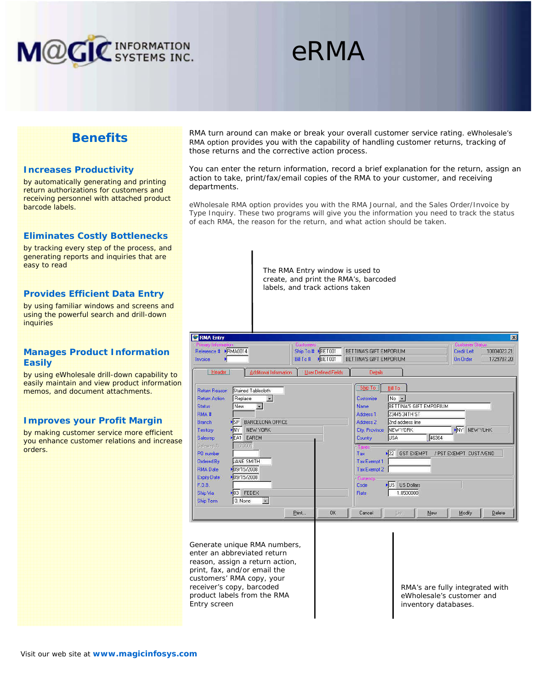

# eRMA

## **Benefits**

#### **Increases Productivity**

by automatically generating and printing return authorizations for customers and receiving personnel with attached product barcode labels.

## **Eliminates Costly Bottlenecks**

by tracking every step of the process, and generating reports and inquiries that are easy to read

#### **Provides Efficient Data Entry**

by using familiar windows and screens and using the powerful search and drill-down inquiries

## **Manages Product Information Easily**

by using eWholesale drill-down capability to easily maintain and view product information memos, and document attachments.

### **Improves your Profit Margin**

by making customer service more efficient you enhance customer relations and increase orders.

RMA turn around can make or break your overall customer service rating. eWholesale's RMA option provides you with the capability of handling customer returns, tracking of those returns and the corrective action process.

You can enter the return information, record a brief explanation for the return, assign an action to take, print/fax/email copies of the RMA to your customer, and receiving departments.

eWholesale RMA option provides you with the RMA Journal, and the Sales Order/Invoice by Type Inquiry. These two programs will give you the information you need to track the status of each RMA, the reason for the return, and what action should be taken.

> The RMA Entry window is used to create, and print the RMA's, barcoded labels, and track actions taken

| RMA Entry<br>Reference # PRMA0014<br>Bill To #<br>Invoice<br>Additional Information<br>Header                                                                                                                                                                                                                                                                                                                                                                                                                                                                | Ship To # BET001<br>BET001<br><b>User Defined Fields</b> | BETTINA'S GIFT EMPORIUM<br>BETTINA'S GIFT EMPORIUM<br>Details                                                                                                                                                |                                                                                                                                                                                                           | $\overline{\mathbf{x}}$<br>Customer Status-<br>Credit Left<br>10004023.21<br><b>On Order</b><br>1729787.20 |
|--------------------------------------------------------------------------------------------------------------------------------------------------------------------------------------------------------------------------------------------------------------------------------------------------------------------------------------------------------------------------------------------------------------------------------------------------------------------------------------------------------------------------------------------------------------|----------------------------------------------------------|--------------------------------------------------------------------------------------------------------------------------------------------------------------------------------------------------------------|-----------------------------------------------------------------------------------------------------------------------------------------------------------------------------------------------------------|------------------------------------------------------------------------------------------------------------|
| Stained Tablecloth<br>Return Reason<br>Replace<br><b>Return Action</b><br>$\overline{\mathcal{L}}$<br>飂<br>New.<br><b>Status</b><br><b>RMA#</b><br>$\blacktriangleright$ <sub>SP</sub><br><b>BARCELONA OFFICE</b><br><b>Branch</b><br><b>NY</b><br>NEW YORK<br>Territory<br><b>EA1</b><br>EAREM<br>Salesrep<br><b>G. Groot</b><br>Salesrep %<br>PO number<br><b>JANE SMITH</b><br><b>Ordered By</b><br>▶ 09/15/2008<br><b>RMA Date</b><br>▶ 09/15/2008<br><b>Expiry Date</b><br>F.O.B.<br>$\triangleright$ 03 FEDEX<br>Ship Via<br>健<br>0. None<br>Ship Term |                                                          | Ship To<br>Customize<br>Name<br>Address <sub>1</sub><br>Address <sub>2</sub><br><b>City, Province</b><br>Country<br><b>Faxes</b><br>Tax<br><b>Tax Exempt 1</b><br>Tax Exempt 2<br>- Eurrency<br>Code<br>Rate | <b>Bill To</b><br>$No$ $\rightarrow$<br>BETTINA'S GIFT EMPORIUM<br>23445 34TH ST<br>2nd address line<br>NEW YORK<br>46364<br><b>USA</b><br>$\sqrt{22}$<br><b>GST EXEMPT</b><br>US US Dollars<br>1.0500000 | NY NEW YUHK<br>/ PST EXEMPT CUST/VEND                                                                      |
| Print                                                                                                                                                                                                                                                                                                                                                                                                                                                                                                                                                        | <b>DK</b>                                                | Cancel                                                                                                                                                                                                       | List<br>New                                                                                                                                                                                               | Modify<br>Delete                                                                                           |

Generate unique RMA numbers, enter an abbreviated return reason, assign a return action, print, fax, and/or email the customers' RMA copy, your receiver's copy, barcoded product labels from the RMA Entry screen

RMA's are fully integrated with eWholesale's customer and inventory databases.